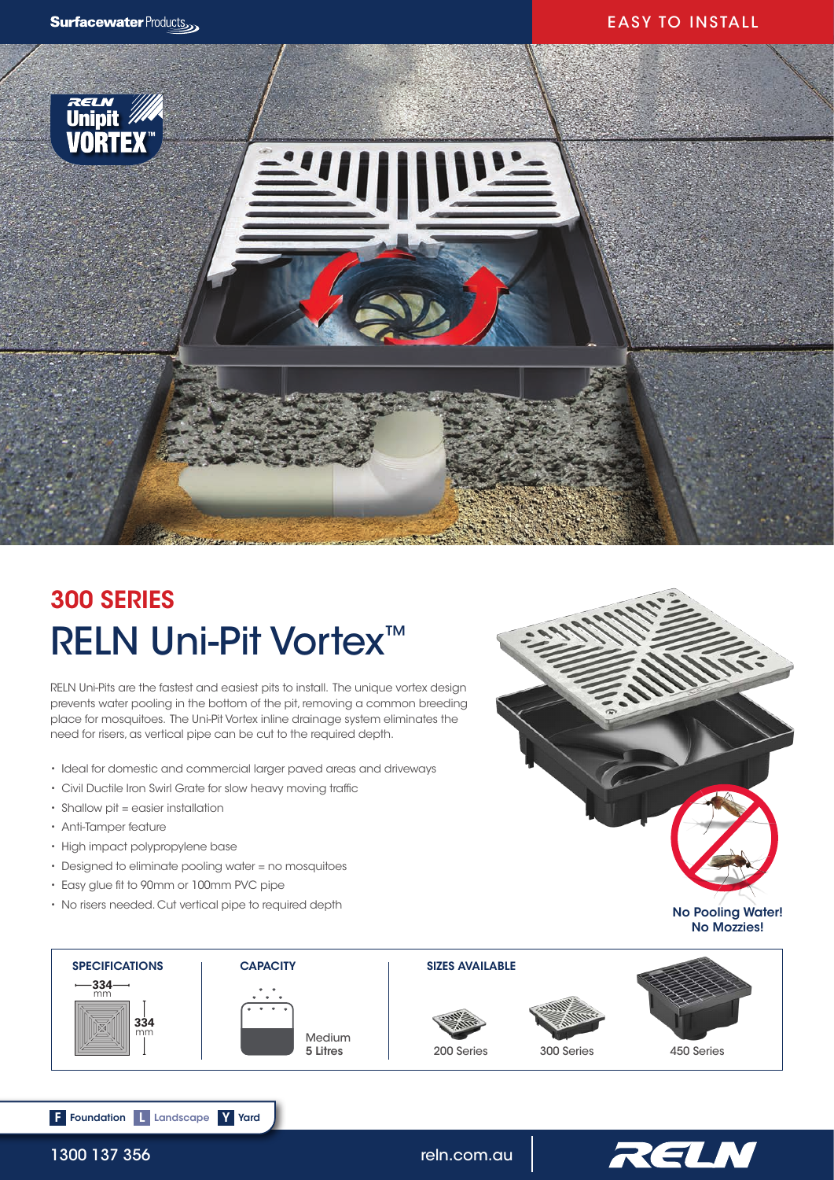## EASY TO INSTALL



# RELN Uni-Pit Vortex<sup>™</sup> 300 SERIES

RELN Uni-Pits are the fastest and easiest pits to install. The unique vortex design prevents water pooling in the bottom of the pit, removing a common breeding place for mosquitoes. The Uni-Pit Vortex inline drainage system eliminates the need for risers, as vertical pipe can be cut to the required depth.

- Ideal for domestic and commercial larger paved areas and driveways
- Civil Ductile Iron Swirl Grate for slow heavy moving traffic
- Shallow pit = easier installation
- Anti-Tamper feature
- High impact polypropylene base
- Designed to eliminate pooling water = no mosquitoes
- Easy glue fit to 90mm or 100mm PVC pipe

F Foundation L Landscape Y Yard

• No risers needed. Cut vertical pipe to required depth







1300 137 356 **reln.com.au**